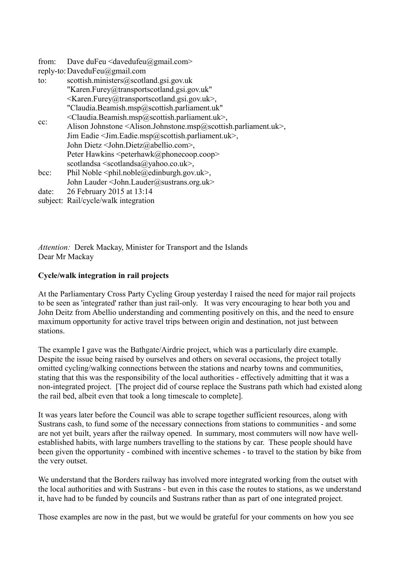| from:  | Dave duFeu <davedufeu@gmail.com></davedufeu@gmail.com>                                                        |
|--------|---------------------------------------------------------------------------------------------------------------|
|        | reply-to: DaveduFeu@gmail.com                                                                                 |
| to:    | scottish.ministers@scotland.gsi.gov.uk                                                                        |
| $cc$ : | "Karen.Furey@transportscotland.gsi.gov.uk"                                                                    |
|        | <karen.furey@transportscotland.gsi.gov.uk>,</karen.furey@transportscotland.gsi.gov.uk>                        |
|        | "Claudia.Beamish.msp@scottish.parliament.uk"                                                                  |
|        | <claudia.beamish.msp@scottish.parliament.uk>,</claudia.beamish.msp@scottish.parliament.uk>                    |
|        | Alison Johnstone <alison.johnstone.msp@scottish.parliament.uk>,</alison.johnstone.msp@scottish.parliament.uk> |
|        | Jim Eadie < Jim. Eadie.msp@scottish.parliament.uk>,                                                           |
|        | John Dietz < John. Dietz@abellio.com>,                                                                        |
|        | Peter Hawkins <peterhawk@phonecoop.coop></peterhawk@phonecoop.coop>                                           |
|        | scotlandsa $\le$ scotlandsa $\omega$ yahoo.co.uk>,                                                            |
| bcc:   | Phil Noble $\leq$ phil.noble@edinburgh.gov.uk>,                                                               |
|        | John Lauder < John.Lauder@sustrans.org.uk>                                                                    |
| date:  | 26 February 2015 at 13:14                                                                                     |
|        | subject: Rail/cycle/walk integration                                                                          |

*Attention:* Derek Mackay, Minister for Transport and the Islands Dear Mr Mackay

## **Cycle/walk integration in rail projects**

At the Parliamentary Cross Party Cycling Group yesterday I raised the need for major rail projects to be seen as 'integrated' rather than just rail-only. It was very encouraging to hear both you and John Deitz from Abellio understanding and commenting positively on this, and the need to ensure maximum opportunity for active travel trips between origin and destination, not just between stations.

The example I gave was the Bathgate/Airdrie project, which was a particularly dire example. Despite the issue being raised by ourselves and others on several occasions, the project totally omitted cycling/walking connections between the stations and nearby towns and communities, stating that this was the responsibility of the local authorities - effectively admitting that it was a non-integrated project. [The project did of course replace the Sustrans path which had existed along the rail bed, albeit even that took a long timescale to complete].

It was years later before the Council was able to scrape together sufficient resources, along with Sustrans cash, to fund some of the necessary connections from stations to communities - and some are not yet built, years after the railway opened. In summary, most commuters will now have wellestablished habits, with large numbers travelling to the stations by car. These people should have been given the opportunity - combined with incentive schemes - to travel to the station by bike from the very outset.

We understand that the Borders railway has involved more integrated working from the outset with the local authorities and with Sustrans - but even in this case the routes to stations, as we understand it, have had to be funded by councils and Sustrans rather than as part of one integrated project.

Those examples are now in the past, but we would be grateful for your comments on how you see